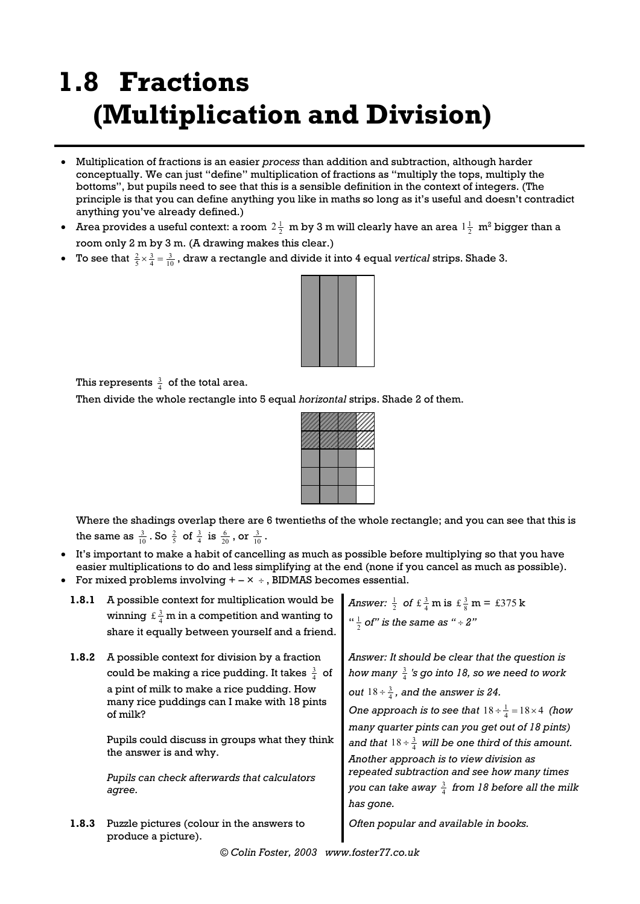## **1.8 Fractions (Multiplication and Division)**

- Multiplication of fractions is an easier *process* than addition and subtraction, although harder conceptually. We can just "define" multiplication of fractions as "multiply the tops, multiply the bottoms", but pupils need to see that this is a sensible definition in the context of integers. (The principle is that you can define anything you like in maths so long as it's useful and doesn't contradict anything you've already defined.)
- Area provides a useful context: a room  $2\frac{1}{2}$  m by 3 m will clearly have an area  $1\frac{1}{2}$  m<sup>2</sup> bigger than a room only 2 m by 3 m. (A drawing makes this clear.)
- To see that  $\frac{2}{5} \times \frac{3}{4} = \frac{3}{10}$ , draw a rectangle and divide it into 4 equal *vertical* strips. Shade 3.



This represents  $\frac{3}{4}$  of the total area.

Then divide the whole rectangle into 5 equal *horizontal* strips. Shade 2 of them.



Where the shadings overlap there are 6 twentieths of the whole rectangle; and you can see that this is the same as  $\frac{3}{10}$ . So  $\frac{2}{5}$  of  $\frac{3}{4}$  is  $\frac{6}{20}$ , or  $\frac{3}{10}$ .

- It's important to make a habit of cancelling as much as possible before multiplying so that you have easier multiplications to do and less simplifying at the end (none if you cancel as much as possible).
- For mixed problems involving  $+ \times +$ , BIDMAS becomes essential.

| 1.8.1 | A possible context for multiplication would be<br>winning $f \frac{3}{4}$ m in a competition and wanting to<br>share it equally between yourself and a friend.                                                                                                                                                                                            | Answer: $\frac{1}{2}$ of $\pm \frac{3}{4}$ m is $\pm \frac{3}{8}$ m = $\pm 375$ k<br>" $\frac{1}{2}$ of" is the same as " $\div$ 2"                                                                                                                                                                                                                                                                                                                                                                                                   |
|-------|-----------------------------------------------------------------------------------------------------------------------------------------------------------------------------------------------------------------------------------------------------------------------------------------------------------------------------------------------------------|---------------------------------------------------------------------------------------------------------------------------------------------------------------------------------------------------------------------------------------------------------------------------------------------------------------------------------------------------------------------------------------------------------------------------------------------------------------------------------------------------------------------------------------|
| 1.8.2 | A possible context for division by a fraction<br>could be making a rice pudding. It takes $\frac{3}{4}$ of<br>a pint of milk to make a rice pudding. How<br>many rice puddings can I make with 18 pints<br>of milk?<br>Pupils could discuss in groups what they think<br>the answer is and why.<br>Pupils can check afterwards that calculators<br>agree. | Answer: It should be clear that the question is<br>how many $\frac{3}{4}$ 's go into 18, so we need to work<br>out $18 \div \frac{3}{4}$ , and the answer is 24.<br>One approach is to see that $18 \div \frac{1}{4} = 18 \times 4$ (how<br>many quarter pints can you get out of 18 pints)<br>and that $18 \div \frac{3}{4}$ will be one third of this amount.<br>Another approach is to view division as<br>repeated subtraction and see how many times<br>you can take away $\frac{3}{4}$ from 18 before all the milk<br>has gone. |
| 1.8.3 | Puzzle pictures (colour in the answers to<br>produce a picture).                                                                                                                                                                                                                                                                                          | Often popular and available in books.                                                                                                                                                                                                                                                                                                                                                                                                                                                                                                 |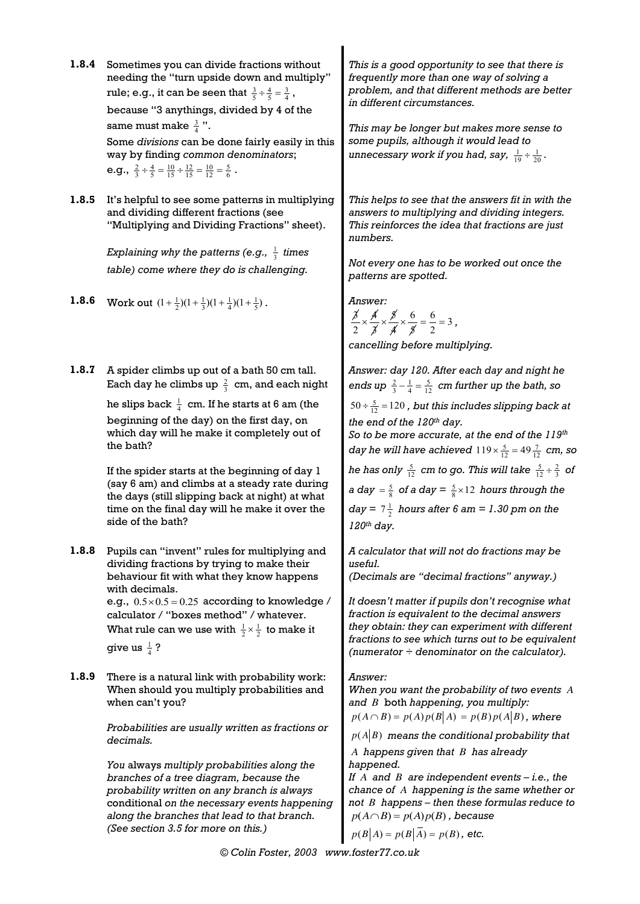**1.8.4** Sometimes you can divide fractions without needing the "turn upside down and multiply" rule; e.g., it can be seen that  $\frac{3}{5} \div \frac{4}{5} = \frac{3}{4}$ , because "3 anythings, divided by 4 of the same must make  $\frac{3}{4}$ ". Some *divisions* can be done fairly easily in this way by finding *common denominators*; **e.g.,**  $\frac{2}{3} \div \frac{4}{5} = \frac{10}{15} \div \frac{12}{15} = \frac{10}{12} = \frac{5}{6}$ . *This is a good opportunity to see that there is frequently more than one way of solving a problem, and that different methods are better in different circumstances. This may be longer but makes more sense to some pupils, although it would lead to*  unnecessary work if you had, say,  $\frac{1}{19} \div \frac{1}{20}$ . **1.8.5** It's helpful to see some patterns in multiplying and dividing different fractions (see "Multiplying and Dividing Fractions" sheet). *Explaining why the patterns (e.g.,* <sup>1</sup> <sup>3</sup> *times table) come where they do is challenging. This helps to see that the answers fit in with the answers to multiplying and dividing integers. This reinforces the idea that fractions are just numbers. Not every one has to be worked out once the patterns are spotted.* **1.8.6** Work out  $(1 + \frac{1}{2})(1 + \frac{1}{3})(1 + \frac{1}{4})(1 + \frac{1}{5})$ .  $\frac{\cancel{3}}{2} \times \frac{\cancel{4}}{3} \times \frac{\cancel{5}}{4} \times \frac{6}{\cancel{5}} = \frac{6}{2} = 3$ , *cancelling before multiplying.* **1.8.7** A spider climbs up out of a bath 50 cm tall. Each day he climbs up  $\frac{2}{3}$  cm, and each night he slips back  $\frac{1}{4}$  cm. If he starts at 6 am (the beginning of the day) on the first day, on which day will he make it completely out of the bath? If the spider starts at the beginning of day 1 (say 6 am) and climbs at a steady rate during the days (still slipping back at night) at what time on the final day will he make it over the side of the bath? *Answer: day 120. After each day and night he*  ends up  $\frac{2}{3} - \frac{1}{4} = \frac{5}{12}$  cm further up the bath, so  $50 \div \frac{5}{12} = 120$ , but this includes slipping back at *the end of the 120th day. So to be more accurate, at the end of the 119th day he will have achieved*  $119 \times \frac{5}{12} = 49 \frac{7}{12}$  *cm, so* he has only  $\frac{5}{12}$  cm to go. This will take  $\frac{5}{12} \div \frac{2}{3}$  of *a day* =  $\frac{5}{8}$  *of a day* =  $\frac{5}{8}$  × 12 *hours through the*  $day = 7\frac{1}{2}$  hours after 6 am = 1.30 pm on the *120th day.* **1.8.8** Pupils can "invent" rules for multiplying and dividing fractions by trying to make their behaviour fit with what they know happens with decimals. e.g.,  $0.5 \times 0.5 = 0.25$  according to knowledge / calculator / "boxes method" / whatever. What rule can we use with  $\frac{1}{2} \times \frac{1}{2}$  to make it give us  $\frac{1}{4}$  ? *A calculator that will not do fractions may be useful. (Decimals are "decimal fractions" anyway.) It doesn't matter if pupils don't recognise what fraction is equivalent to the decimal answers they obtain: they can experiment with different fractions to see which turns out to be equivalent (numerator ÷ denominator on the calculator).* **1.8.9** There is a natural link with probability work: When should you multiply probabilities and when can't you? *Probabilities are usually written as fractions or decimals. You* always *multiply probabilities along the branches of a tree diagram, because the probability written on any branch is always*  conditional *on the necessary events happening along the branches that lead to that branch. (See section 3.5 for more on this.) Answer: When you want the probability of two events A and B* both *happening, you multiply:*   $p(A \cap B) = p(A)p(B|A) = p(B)p(A|B)$ , where  $p(A|B)$  means the conditional probability that *A happens given that B has already happened. If*  $A$  and  $B$  are independent events  $-i.e.,$  the *chance of A happening is the same whether or not B happens – then these formulas reduce to*   $p(A \cap B) = p(A)p(B)$ , because  $p(B|A) = p(B|\overline{A}) = p(B)$ , etc.

*© Colin Foster, 2003 www.foster77.co.uk*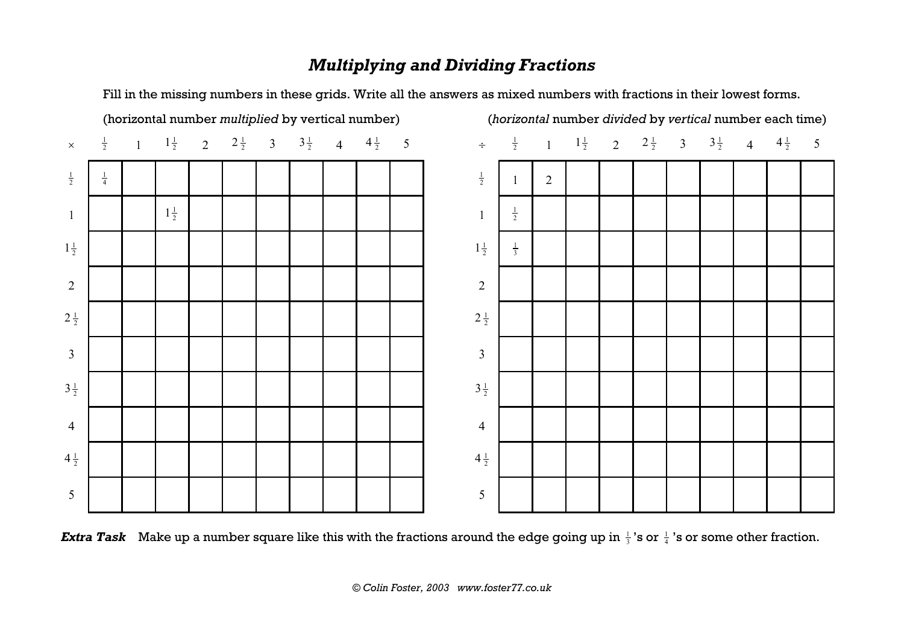## *Multiplying and Dividing Fractions*



Fill in the missing numbers in these grids. Write all the answers as mixed numbers with fractions in their lowest forms.